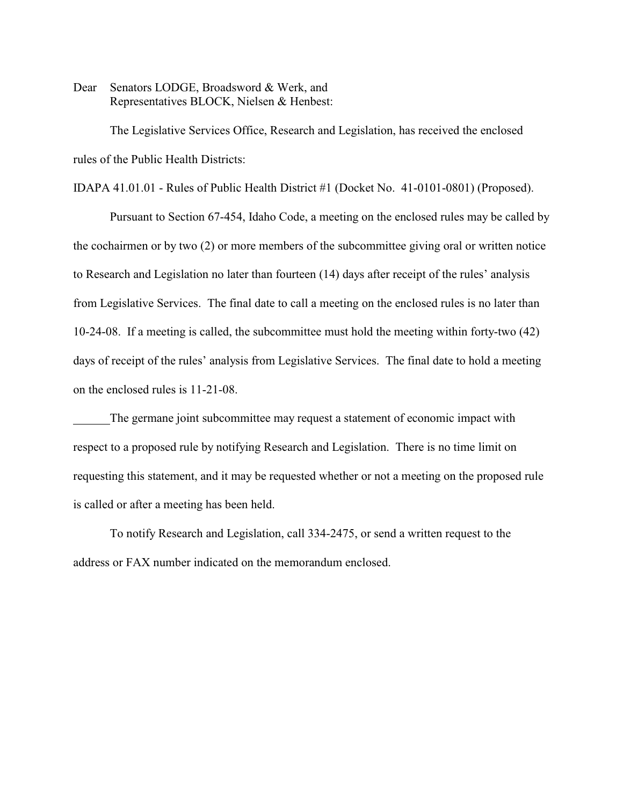Dear Senators LODGE, Broadsword & Werk, and Representatives BLOCK, Nielsen & Henbest:

The Legislative Services Office, Research and Legislation, has received the enclosed rules of the Public Health Districts:

IDAPA 41.01.01 - Rules of Public Health District #1 (Docket No. 41-0101-0801) (Proposed).

Pursuant to Section 67-454, Idaho Code, a meeting on the enclosed rules may be called by the cochairmen or by two (2) or more members of the subcommittee giving oral or written notice to Research and Legislation no later than fourteen (14) days after receipt of the rules' analysis from Legislative Services. The final date to call a meeting on the enclosed rules is no later than 10-24-08. If a meeting is called, the subcommittee must hold the meeting within forty-two (42) days of receipt of the rules' analysis from Legislative Services. The final date to hold a meeting on the enclosed rules is 11-21-08.

The germane joint subcommittee may request a statement of economic impact with respect to a proposed rule by notifying Research and Legislation. There is no time limit on requesting this statement, and it may be requested whether or not a meeting on the proposed rule is called or after a meeting has been held.

To notify Research and Legislation, call 334-2475, or send a written request to the address or FAX number indicated on the memorandum enclosed.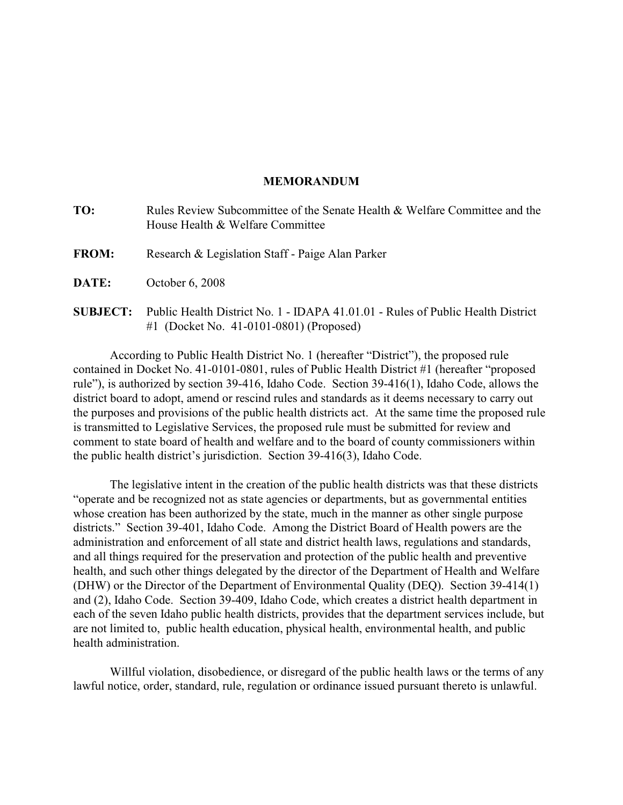## **MEMORANDUM**

| TO:             | Rules Review Subcommittee of the Senate Health & Welfare Committee and the<br>House Health & Welfare Committee             |
|-----------------|----------------------------------------------------------------------------------------------------------------------------|
| <b>FROM:</b>    | Research & Legislation Staff - Paige Alan Parker                                                                           |
| <b>DATE:</b>    | October 6, 2008                                                                                                            |
| <b>SUBJECT:</b> | Public Health District No. 1 - IDAPA 41.01.01 - Rules of Public Health District<br>#1 (Docket No. 41-0101-0801) (Proposed) |

According to Public Health District No. 1 (hereafter "District"), the proposed rule contained in Docket No. 41-0101-0801, rules of Public Health District #1 (hereafter "proposed rule"), is authorized by section 39-416, Idaho Code. Section 39-416(1), Idaho Code, allows the district board to adopt, amend or rescind rules and standards as it deems necessary to carry out the purposes and provisions of the public health districts act. At the same time the proposed rule is transmitted to Legislative Services, the proposed rule must be submitted for review and comment to state board of health and welfare and to the board of county commissioners within the public health district's jurisdiction. Section 39-416(3), Idaho Code.

The legislative intent in the creation of the public health districts was that these districts "operate and be recognized not as state agencies or departments, but as governmental entities whose creation has been authorized by the state, much in the manner as other single purpose districts." Section 39-401, Idaho Code. Among the District Board of Health powers are the administration and enforcement of all state and district health laws, regulations and standards, and all things required for the preservation and protection of the public health and preventive health, and such other things delegated by the director of the Department of Health and Welfare (DHW) or the Director of the Department of Environmental Quality (DEQ). Section 39-414(1) and (2), Idaho Code. Section 39-409, Idaho Code, which creates a district health department in each of the seven Idaho public health districts, provides that the department services include, but are not limited to, public health education, physical health, environmental health, and public health administration.

Willful violation, disobedience, or disregard of the public health laws or the terms of any lawful notice, order, standard, rule, regulation or ordinance issued pursuant thereto is unlawful.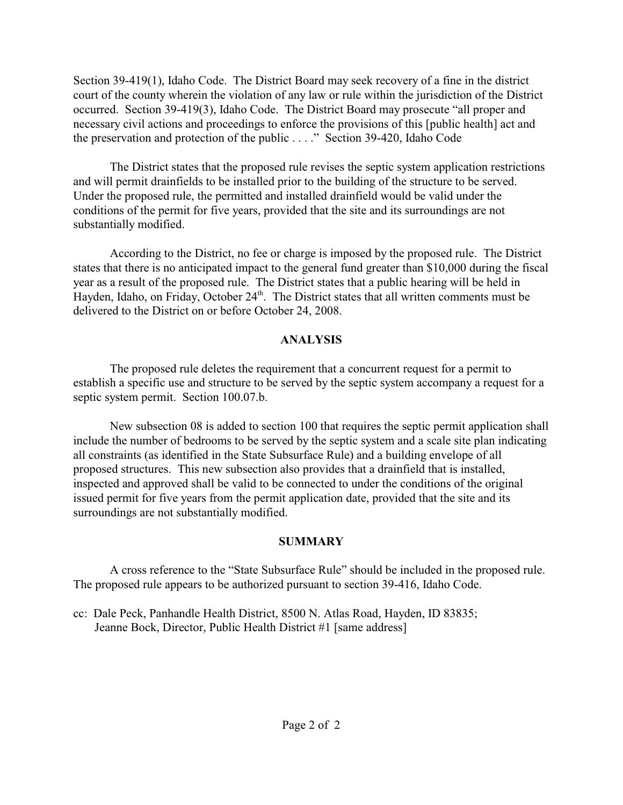Section 39-419(1), Idaho Code. The District Board may seek recovery of a fine in the district court of the county wherein the violation of any law or rule within the jurisdiction of the District occurred. Section 39-419(3), Idaho Code. The District Board may prosecute "all proper and necessary civil actions and proceedings to enforce the provisions of this [public health] act and the preservation and protection of the public . . . ." Section 39-420, Idaho Code

The District states that the proposed rule revises the septic system application restrictions and will permit drainfields to be installed prior to the building of the structure to be served. Under the proposed rule, the permitted and installed drainfield would be valid under the conditions of the permit for five years, provided that the site and its surroundings are not substantially modified.

According to the District, no fee or charge is imposed by the proposed rule. The District states that there is no anticipated impact to the general fund greater than \$10,000 during the fiscal year as a result of the proposed rule. The District states that a public hearing will be held in Hayden, Idaho, on Friday, October 24<sup>th</sup>. The District states that all written comments must be delivered to the District on or before October 24, 2008.

## **ANALYSIS**

The proposed rule deletes the requirement that a concurrent request for a permit to establish a specific use and structure to be served by the septic system accompany a request for a septic system permit. Section 100.07.b.

New subsection 08 is added to section 100 that requires the septic permit application shall include the number of bedrooms to be served by the septic system and a scale site plan indicating all constraints (as identified in the State Subsurface Rule) and a building envelope of all proposed structures. This new subsection also provides that a drainfield that is installed, inspected and approved shall be valid to be connected to under the conditions of the original issued permit for five years from the permit application date, provided that the site and its surroundings are not substantially modified.

# **SUMMARY**

A cross reference to the "State Subsurface Rule" should be included in the proposed rule. The proposed rule appears to be authorized pursuant to section 39-416, Idaho Code.

cc: Dale Peck, Panhandle Health District, 8500 N. Atlas Road, Hayden, ID 83835; Jeanne Bock, Director, Public Health District #1 [same address]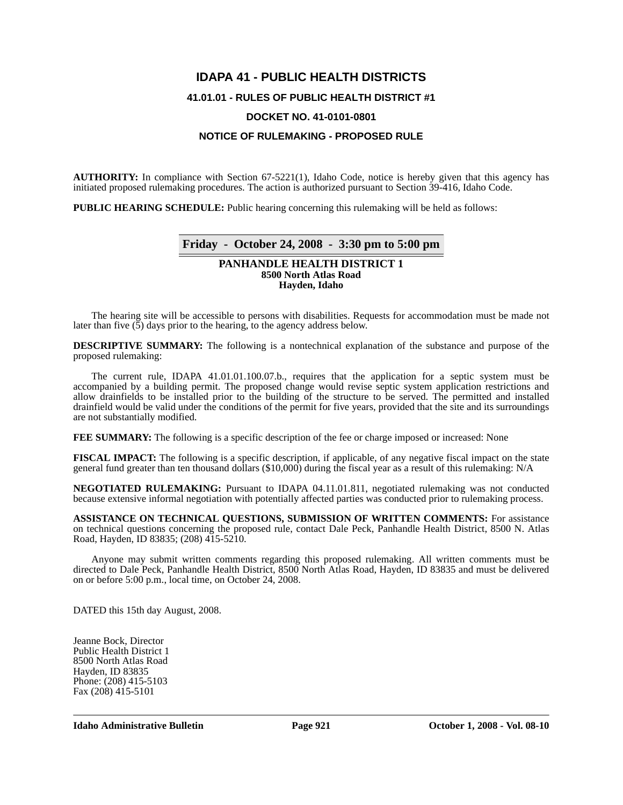# **IDAPA 41 - PUBLIC HEALTH DISTRICTS 41.01.01 - RULES OF PUBLIC HEALTH DISTRICT #1 DOCKET NO. 41-0101-0801**

## **NOTICE OF RULEMAKING - PROPOSED RULE**

**AUTHORITY:** In compliance with Section 67-5221(1), Idaho Code, notice is hereby given that this agency has initiated proposed rulemaking procedures. The action is authorized pursuant to Section 39-416, Idaho Code.

**PUBLIC HEARING SCHEDULE:** Public hearing concerning this rulemaking will be held as follows:

## **Friday - October 24, 2008 - 3:30 pm to 5:00 pm**

### **PANHANDLE HEALTH DISTRICT 1 8500 North Atlas Road Hayden, Idaho**

The hearing site will be accessible to persons with disabilities. Requests for accommodation must be made not later than five  $(5)$  days prior to the hearing, to the agency address below.

**DESCRIPTIVE SUMMARY:** The following is a nontechnical explanation of the substance and purpose of the proposed rulemaking:

The current rule, IDAPA 41.01.01.100.07.b., requires that the application for a septic system must be accompanied by a building permit. The proposed change would revise septic system application restrictions and allow drainfields to be installed prior to the building of the structure to be served. The permitted and installed drainfield would be valid under the conditions of the permit for five years, provided that the site and its surroundings are not substantially modified.

**FEE SUMMARY:** The following is a specific description of the fee or charge imposed or increased: None

**FISCAL IMPACT:** The following is a specific description, if applicable, of any negative fiscal impact on the state general fund greater than ten thousand dollars (\$10,000) during the fiscal year as a result of this rulemaking: N/A

**NEGOTIATED RULEMAKING:** Pursuant to IDAPA 04.11.01.811, negotiated rulemaking was not conducted because extensive informal negotiation with potentially affected parties was conducted prior to rulemaking process.

**ASSISTANCE ON TECHNICAL QUESTIONS, SUBMISSION OF WRITTEN COMMENTS:** For assistance on technical questions concerning the proposed rule, contact Dale Peck, Panhandle Health District, 8500 N. Atlas Road, Hayden, ID 83835; (208) 415-5210.

Anyone may submit written comments regarding this proposed rulemaking. All written comments must be directed to Dale Peck, Panhandle Health District, 8500 North Atlas Road, Hayden, ID 83835 and must be delivered on or before 5:00 p.m., local time, on October 24, 2008.

DATED this 15th day August, 2008.

Jeanne Bock, Director Public Health District 1 8500 North Atlas Road Hayden, ID 83835 Phone: (208) 415-5103 Fax (208) 415-5101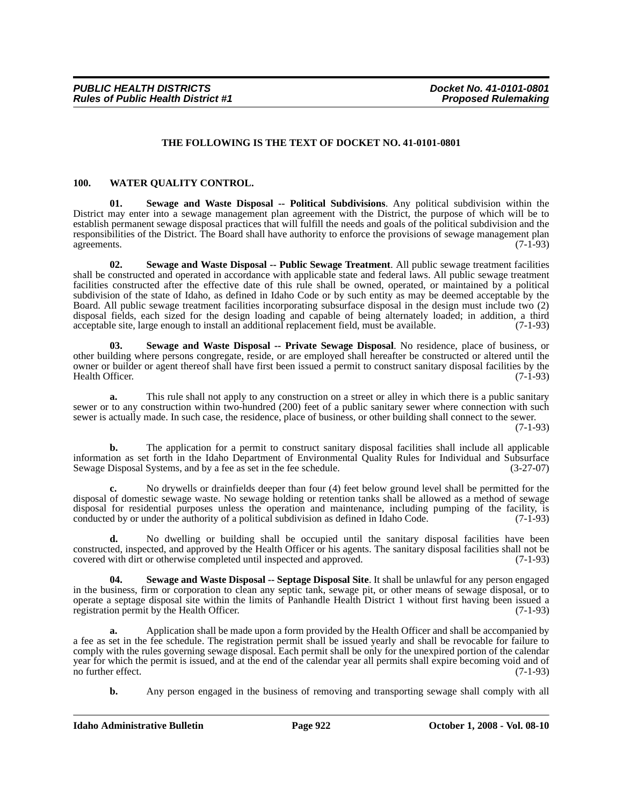## **THE FOLLOWING IS THE TEXT OF DOCKET NO. 41-0101-0801**

#### **100. WATER QUALITY CONTROL.**

**01. Sewage and Waste Disposal -- Political Subdivisions**. Any political subdivision within the District may enter into a sewage management plan agreement with the District, the purpose of which will be to establish permanent sewage disposal practices that will fulfill the needs and goals of the political subdivision and the responsibilities of the District. The Board shall have authority to enforce the provisions of sewage management plan agreements. (7-1-93) agreements.  $(7-1-93)$ 

**02. Sewage and Waste Disposal -- Public Sewage Treatment**. All public sewage treatment facilities shall be constructed and operated in accordance with applicable state and federal laws. All public sewage treatment facilities constructed after the effective date of this rule shall be owned, operated, or maintained by a political subdivision of the state of Idaho, as defined in Idaho Code or by such entity as may be deemed acceptable by the Board. All public sewage treatment facilities incorporating subsurface disposal in the design must include two (2) disposal fields, each sized for the design loading and capable of being alternately loaded; in addition, a third acceptable site, large enough to install an additional replacement field, must be available. (7-1-93)

**03. Sewage and Waste Disposal -- Private Sewage Disposal**. No residence, place of business, or other building where persons congregate, reside, or are employed shall hereafter be constructed or altered until the owner or builder or agent thereof shall have first been issued a permit to construct sanitary disposal facilities by the Health Officer. (7-1-93) Health Officer.

**a.** This rule shall not apply to any construction on a street or alley in which there is a public sanitary sewer or to any construction within two-hundred (200) feet of a public sanitary sewer where connection with such sewer is actually made. In such case, the residence, place of business, or other building shall connect to the sewer.

(7-1-93)

**b.** The application for a permit to construct sanitary disposal facilities shall include all applicable information as set forth in the Idaho Department of Environmental Quality Rules for Individual and Subsurface Sewage Disposal Systems, and by a fee as set in the fee schedule.

**c.** No drywells or drainfields deeper than four (4) feet below ground level shall be permitted for the disposal of domestic sewage waste. No sewage holding or retention tanks shall be allowed as a method of sewage disposal for residential purposes unless the operation and maintenance, including pumping of the facility, is conducted by or under the authority of a political subdivision as defined in Idaho Code. (7-1-93) conducted by or under the authority of a political subdivision as defined in Idaho Code.

**d.** No dwelling or building shall be occupied until the sanitary disposal facilities have been constructed, inspected, and approved by the Health Officer or his agents. The sanitary disposal facilities shall not be covered with dirt or otherwise completed until inspected and approved.

**04. Sewage and Waste Disposal -- Septage Disposal Site**. It shall be unlawful for any person engaged in the business, firm or corporation to clean any septic tank, sewage pit, or other means of sewage disposal, or to operate a septage disposal site within the limits of Panhandle Health District 1 without first having been issued a registration permit by the Health Officer.

**a.** Application shall be made upon a form provided by the Health Officer and shall be accompanied by a fee as set in the fee schedule. The registration permit shall be issued yearly and shall be revocable for failure to comply with the rules governing sewage disposal. Each permit shall be only for the unexpired portion of the calendar year for which the permit is issued, and at the end of the calendar year all permits shall expire becoming void and of no further effect. (7-1-93) no further effect.

**b.** Any person engaged in the business of removing and transporting sewage shall comply with all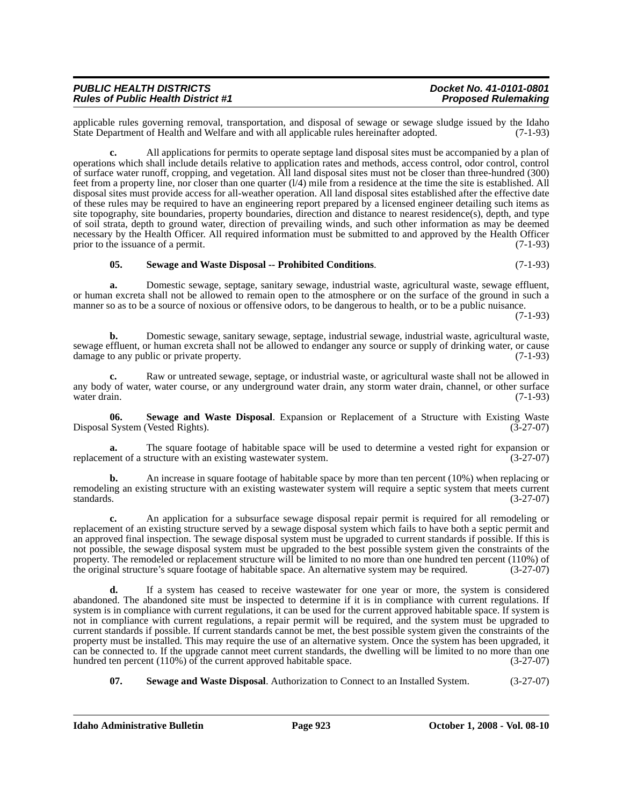| <b>PUBLIC HEALTH DISTRICTS</b>            | Docket No. 41-0101-0801    |
|-------------------------------------------|----------------------------|
| <b>Rules of Public Health District #1</b> | <b>Proposed Rulemaking</b> |

applicable rules governing removal, transportation, and disposal of sewage or sewage sludge issued by the Idaho<br>State Department of Health and Welfare and with all applicable rules hereinafter adopted. (7-1-93) State Department of Health and Welfare and with all applicable rules hereinafter adopted.

**c.** All applications for permits to operate septage land disposal sites must be accompanied by a plan of operations which shall include details relative to application rates and methods, access control, odor control, control of surface water runoff, cropping, and vegetation. All land disposal sites must not be closer than three-hundred (300) feet from a property line, nor closer than one quarter (l/4) mile from a residence at the time the site is established. All disposal sites must provide access for all-weather operation. All land disposal sites established after the effective date of these rules may be required to have an engineering report prepared by a licensed engineer detailing such items as site topography, site boundaries, property boundaries, direction and distance to nearest residence(s), depth, and type of soil strata, depth to ground water, direction of prevailing winds, and such other information as may be deemed necessary by the Health Officer. All required information must be submitted to and approved by the Health Officer prior to the issuance of a permit. (7-1-93) prior to the issuance of a permit.

## **05. Sewage and Waste Disposal -- Prohibited Conditions**. (7-1-93)

**a.** Domestic sewage, septage, sanitary sewage, industrial waste, agricultural waste, sewage effluent, or human excreta shall not be allowed to remain open to the atmosphere or on the surface of the ground in such a manner so as to be a source of noxious or offensive odors, to be dangerous to health, or to be a public nuisance. (7-1-93)

**b.** Domestic sewage, sanitary sewage, septage, industrial sewage, industrial waste, agricultural waste, sewage effluent, or human excreta shall not be allowed to endanger any source or supply of drinking water, or cause damage to any public or private property. (7-1-93)

**c.** Raw or untreated sewage, septage, or industrial waste, or agricultural waste shall not be allowed in any body of water, water course, or any underground water drain, any storm water drain, channel, or other surface water drain. (7-1-93) water drain. (7-1-93)

**06.** Sewage and Waste Disposal. Expansion or Replacement of a Structure with Existing Waste System (Vested Rights). (3-27-07) Disposal System (Vested Rights).

**a.** The square footage of habitable space will be used to determine a vested right for expansion or replacement of a structure with an existing wastewater system. (3-27-07)

**b.** An increase in square footage of habitable space by more than ten percent (10%) when replacing or remodeling an existing structure with an existing wastewater system will require a septic system that meets current standards. (3-27-07)

**c.** An application for a subsurface sewage disposal repair permit is required for all remodeling or replacement of an existing structure served by a sewage disposal system which fails to have both a septic permit and an approved final inspection. The sewage disposal system must be upgraded to current standards if possible. If this is not possible, the sewage disposal system must be upgraded to the best possible system given the constraints of the property. The remodeled or replacement structure will be limited to no more than one hundred ten percent (110%) of the original structure's square footage of habitable space. An alternative system may be required. (3-27-07)

**d.** If a system has ceased to receive wastewater for one year or more, the system is considered abandoned. The abandoned site must be inspected to determine if it is in compliance with current regulations. If system is in compliance with current regulations, it can be used for the current approved habitable space. If system is not in compliance with current regulations, a repair permit will be required, and the system must be upgraded to current standards if possible. If current standards cannot be met, the best possible system given the constraints of the property must be installed. This may require the use of an alternative system. Once the system has been upgraded, it can be connected to. If the upgrade cannot meet current standards, the dwelling will be limited to no more than one hundred ten percent (110%) of the current approved habitable space. (3-27-07)

**07. Sewage and Waste Disposal**. Authorization to Connect to an Installed System. (3-27-07)